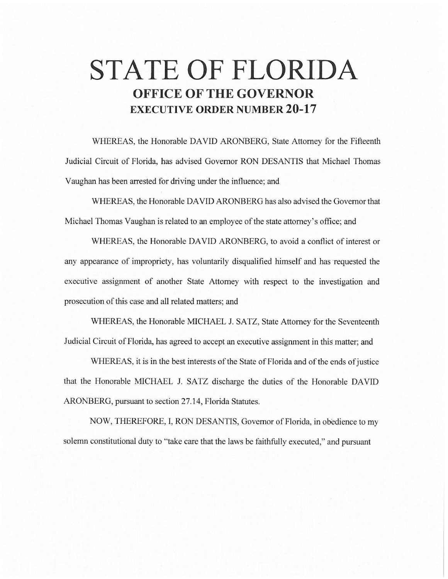# **STATE OF FLORIDA OFFICE OF THE GOVERNOR EXECUTIVE ORDER NUMBER 20-17**

WHEREAS, the Honorable DAVID ARONBERG, State Attorney for the Fifteenth Judicial Circuit of Florida, has advised Governor RON DESANTIS that Michael Thomas Vaughan has been arrested for driving under the influence; and

WHEREAS, the Honorable DAVID ARONBERG has also advised the Governor that Michael Thomas Vaughan is related to an employee of the state attorney's office; and

WHEREAS, the Honorable DAVID ARONBERG, to avoid a conflict of interest or any appearance of impropriety, has voluntarily disqualified himself and has requested the executive assignment of another State Attorney with respect to the investigation and prosecution of this case and all related matters; and

WHEREAS, the Honorable MICHAEL J. SATZ, State Attorney for the Seventeenth Judicial Circuit of Florida, has agreed to accept an executive assignment in this matter; and

WHEREAS, it is in the best interests of the State of Florida and of the ends of justice that the Honorable MICHAEL J. SATZ discharge the duties of the Honorable DAVID ARONBERG, pursuant to section 27.14, Florida Statutes.

NOW, THEREFORE, I, RON DESANTIS, Governor of Florida, in obedience to my solemn constitutional duty to "take care that the laws be faithfully executed," and pursuant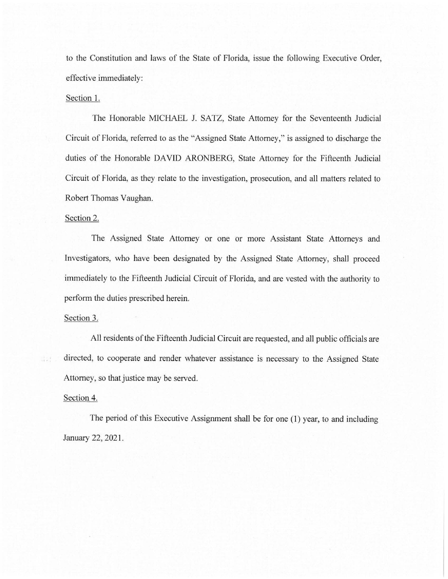to the Constitution and laws of the State of Florida, issue the following Executive Order, effective immediately:

### Section 1.

The Honorable MICHAEL J. SATZ, State Attorney for the Seventeenth Judicial Circuit of Florida, referred to as the "Assigned State Attorney," is assigned to discharge the duties of the Honorable DAVID ARONBERG, State Attorney for the Fifteenth Judicial Circuit of Florida, as they relate to the investigation, prosecution, and all matters related to Robert Thomas Vaughan.

#### Section 2.

The Assigned State Attorney or one or more Assistant State Attorneys and Investigators, who have been designated by the Assigned State Attorney, shall proceed immediately to the Fifteenth Judicial Circuit of Florida, and are vested with the authority to perform the duties prescribed herein.

## Section 3.

All residents of the Fifteenth Judicial Circuit are requested, and all public officials are directed, to cooperate and render whatever assistance is necessary to the Assigned State Attorney, so that justice may be served.

#### Section 4.

d al

The period of this Executive Assignment shall be for one (1) year, to and including January 22, 2021.